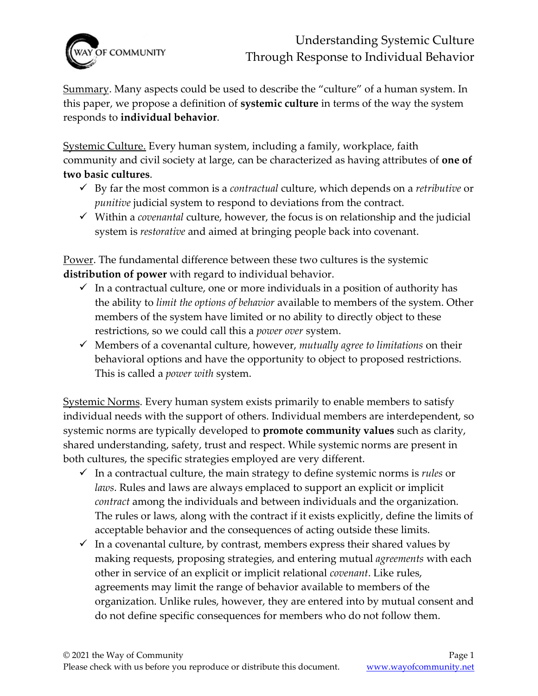

Summary. Many aspects could be used to describe the "culture" of a human system. In this paper, we propose a definition of **systemic culture** in terms of the way the system responds to **individual behavior**.

Systemic Culture. Every human system, including a family, workplace, faith community and civil society at large, can be characterized as having attributes of **one of two basic cultures**.

- ✓ By far the most common is a *contractual* culture, which depends on a *retributive* or *punitive* judicial system to respond to deviations from the contract.
- ✓ Within a *covenantal* culture, however, the focus is on relationship and the judicial system is *restorative* and aimed at bringing people back into covenant.

Power. The fundamental difference between these two cultures is the systemic **distribution of power** with regard to individual behavior.

- $\checkmark$  In a contractual culture, one or more individuals in a position of authority has the ability to *limit the options of behavior* available to members of the system. Other members of the system have limited or no ability to directly object to these restrictions, so we could call this a *power over* system.
- ✓ Members of a covenantal culture, however, *mutually agree to limitations* on their behavioral options and have the opportunity to object to proposed restrictions. This is called a *power with* system.

Systemic Norms. Every human system exists primarily to enable members to satisfy individual needs with the support of others. Individual members are interdependent, so systemic norms are typically developed to **promote community values** such as clarity, shared understanding, safety, trust and respect. While systemic norms are present in both cultures, the specific strategies employed are very different.

- ✓ In a contractual culture, the main strategy to define systemic norms is *rules* or *laws*. Rules and laws are always emplaced to support an explicit or implicit *contract* among the individuals and between individuals and the organization. The rules or laws, along with the contract if it exists explicitly, define the limits of acceptable behavior and the consequences of acting outside these limits.
- $\checkmark$  In a covenantal culture, by contrast, members express their shared values by making requests, proposing strategies, and entering mutual *agreements* with each other in service of an explicit or implicit relational *covenant*. Like rules, agreements may limit the range of behavior available to members of the organization. Unlike rules, however, they are entered into by mutual consent and do not define specific consequences for members who do not follow them.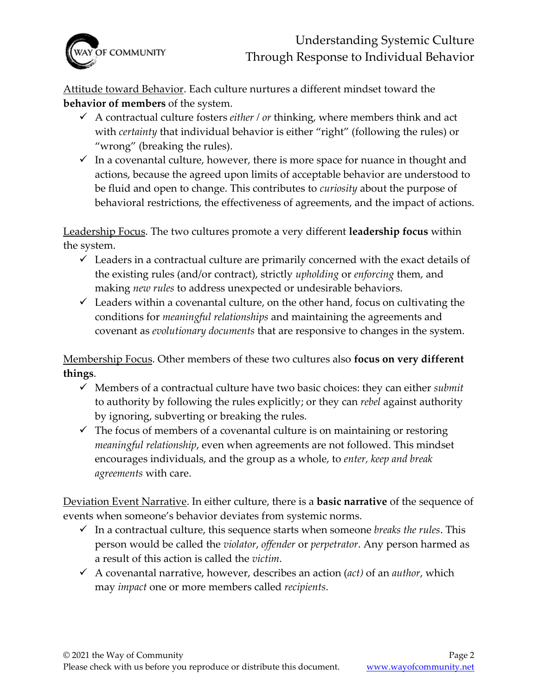

Attitude toward Behavior. Each culture nurtures a different mindset toward the **behavior of members** of the system.

- $\checkmark$  A contractual culture fosters *either / or* thinking, where members think and act with *certainty* that individual behavior is either "right" (following the rules) or "wrong" (breaking the rules).
- $\checkmark$  In a covenantal culture, however, there is more space for nuance in thought and actions, because the agreed upon limits of acceptable behavior are understood to be fluid and open to change. This contributes to *curiosity* about the purpose of behavioral restrictions, the effectiveness of agreements, and the impact of actions.

Leadership Focus. The two cultures promote a very different **leadership focus** within the system.

- $\checkmark$  Leaders in a contractual culture are primarily concerned with the exact details of the existing rules (and/or contract), strictly *upholding* or *enforcing* them, and making *new rules* to address unexpected or undesirable behaviors.
- $\checkmark$  Leaders within a covenantal culture, on the other hand, focus on cultivating the conditions for *meaningful relationships* and maintaining the agreements and covenant as *evolutionary documents* that are responsive to changes in the system.

Membership Focus. Other members of these two cultures also **focus on very different things**.

- ✓ Members of a contractual culture have two basic choices: they can either *submit* to authority by following the rules explicitly; or they can *rebel* against authority by ignoring, subverting or breaking the rules.
- $\checkmark$  The focus of members of a covenantal culture is on maintaining or restoring *meaningful relationship*, even when agreements are not followed. This mindset encourages individuals, and the group as a whole, to *enter, keep and break agreements* with care.

Deviation Event Narrative. In either culture, there is a **basic narrative** of the sequence of events when someone's behavior deviates from systemic norms.

- ✓ In a contractual culture, this sequence starts when someone *breaks the rules*. This person would be called the *violator*, *offender* or *perpetrator*. Any person harmed as a result of this action is called the *victim*.
- ✓ A covenantal narrative, however, describes an action (*act)* of an *author*, which may *impact* one or more members called *recipients*.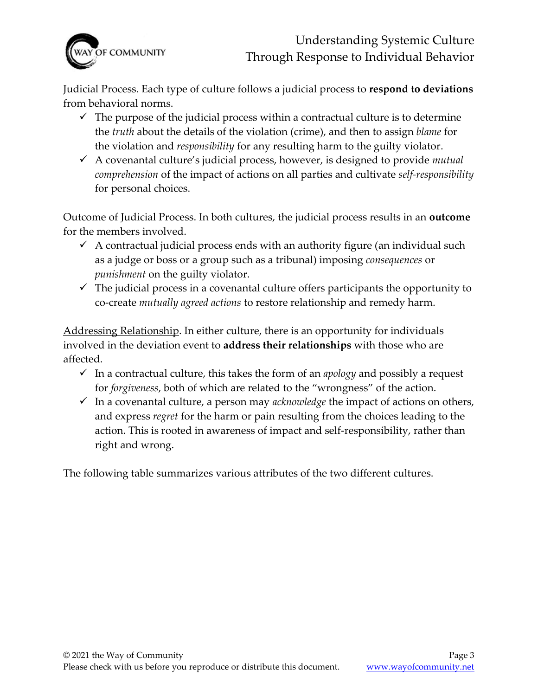

Judicial Process. Each type of culture follows a judicial process to **respond to deviations** from behavioral norms.

- $\checkmark$  The purpose of the judicial process within a contractual culture is to determine the *truth* about the details of the violation (crime), and then to assign *blame* for the violation and *responsibility* for any resulting harm to the guilty violator.
- ✓ A covenantal culture's judicial process, however, is designed to provide *mutual comprehension* of the impact of actions on all parties and cultivate *self-responsibility*  for personal choices.

Outcome of Judicial Process. In both cultures, the judicial process results in an **outcome** for the members involved.

- $\checkmark$  A contractual judicial process ends with an authority figure (an individual such as a judge or boss or a group such as a tribunal) imposing *consequences* or *punishment* on the guilty violator.
- $\checkmark$  The judicial process in a covenantal culture offers participants the opportunity to co-create *mutually agreed actions* to restore relationship and remedy harm.

Addressing Relationship. In either culture, there is an opportunity for individuals involved in the deviation event to **address their relationships** with those who are affected.

- ✓ In a contractual culture, this takes the form of an *apology* and possibly a request for *forgiveness*, both of which are related to the "wrongness" of the action.
- ✓ In a covenantal culture, a person may *acknowledge* the impact of actions on others, and express *regret* for the harm or pain resulting from the choices leading to the action. This is rooted in awareness of impact and self-responsibility, rather than right and wrong.

The following table summarizes various attributes of the two different cultures.